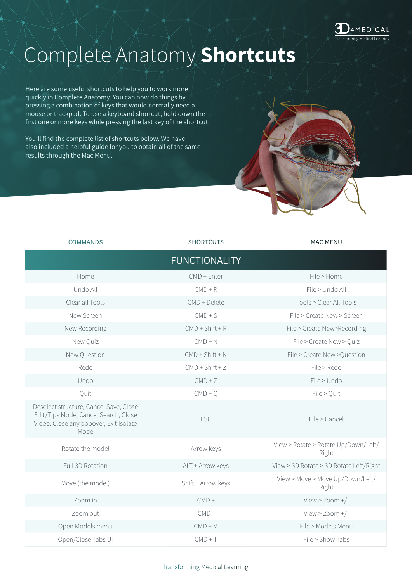

## Complete Anatomy **Shortcuts**

Here are some useful shortcuts to help you to work more quickly in Complete Anatomy. You can now do things by pressing a combination of keys that would normally need a mouse or trackpad. To use a keyboard shortcut, hold down the first one or more keys while pressing the last key of the shortcut.

You'll find the complete list of shortcuts below. We have also included a helpful guide for you to obtain all of the same results through the Mac Menu.

| <b>COMMANDS</b>                                                                                                                  | <b>SHORTCUTS</b>     | <b>MAC MENU</b>                               |
|----------------------------------------------------------------------------------------------------------------------------------|----------------------|-----------------------------------------------|
|                                                                                                                                  | <b>FUNCTIONALITY</b> |                                               |
| Home                                                                                                                             | $CMD + Enter$        | File > Home                                   |
| Undo All                                                                                                                         | $CMD + R$            | File > Undo All                               |
| Clear all Tools                                                                                                                  | CMD + Delete         | Tools > Clear All Tools                       |
| New Screen                                                                                                                       | $CMD + S$            | File > Create New > Screen                    |
| New Recording                                                                                                                    | $CMD + Shift + R$    | File > Create New>Recording                   |
| New Quiz                                                                                                                         | $CMD + N$            | File > Create New > Quiz                      |
| New Question                                                                                                                     | $CMD + Shift + N$    | File > Create New > Question                  |
| Redo                                                                                                                             | $CMD + Shift + Z$    | File > Redo                                   |
| Undo                                                                                                                             | $CMD + Z$            | File > Undo                                   |
| Quit                                                                                                                             | $CMD + Q$            | File > Quit                                   |
| Deselect structure, Cancel Save, Close<br>Edit/Tips Mode, Cancel Search, Close<br>Video, Close any popover, Exit Isolate<br>Mode | ESC                  | File > Cancel                                 |
| Rotate the model                                                                                                                 | Arrow keys           | View > Rotate > Rotate Up/Down/Left/<br>Right |
| Full 3D Rotation                                                                                                                 | ALT + Arrow keys     | View > 3D Rotate > 3D Rotate Left/Right       |
| Move (the model)                                                                                                                 | Shift + Arrow keys   | View > Move > Move Up/Down/Left/<br>Right     |
| Zoom in                                                                                                                          | $CMD +$              | View > Zoom +/-                               |
| Zoom out                                                                                                                         | $CMD -$              | View > Zoom +/-                               |
| Open Models menu                                                                                                                 | $CMD + M$            | File > Models Menu                            |
| Open/Close Tabs UI                                                                                                               | $CMD + T$            | File > Show Tabs                              |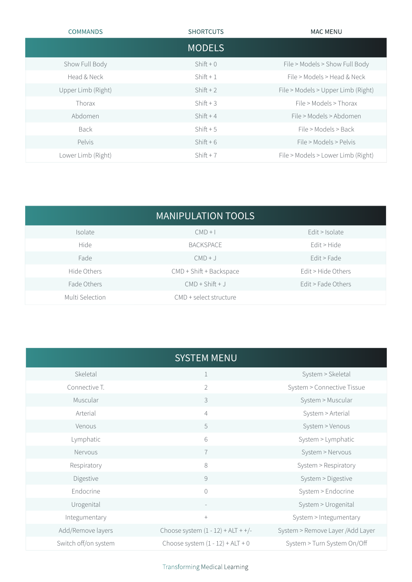| <b>COMMANDS</b>    | <b>SHORTCUTS</b> | <b>MAC MENU</b>                    |
|--------------------|------------------|------------------------------------|
|                    | <b>MODELS</b>    |                                    |
| Show Full Body     | $Shift + 0$      | File > Models > Show Full Body     |
| Head & Neck        | $Shift + 1$      | File > Models > Head & Neck        |
| Upper Limb (Right) | $Shift + 2$      | File > Models > Upper Limb (Right) |
| Thorax             | $Shift + 3$      | File > Models > Thorax             |
| Abdomen            | $Shift + 4$      | File > Models > Abdomen            |
| <b>Back</b>        | $Shift + 5$      | File > Models > Back               |
| Pelvis             | $Shift + 6$      | File > Models > Pelvis             |
| Lower Limb (Right) | $Shift + 7$      | File > Models > Lower Limb (Right) |

| <b>MANIPULATION TOOLS</b> |                         |                    |
|---------------------------|-------------------------|--------------------|
| Isolate                   | $CMD + I$               | Edit > Isolate     |
| <b>Hide</b>               | <b>BACKSPACE</b>        | Edit > Hide        |
| Fade                      | $CMD + J$               | Edit > Fade        |
| Hide Others               | CMD + Shift + Backspace | Edit > Hide Others |
| Fade Others               | $CMD + Shift + J$       | Edit > Fade Others |
| Multi Selection           | CMD + select structure  |                    |

|                      | <b>SYSTEM MENU</b>                   |                                   |
|----------------------|--------------------------------------|-----------------------------------|
| Skeletal             | $\mathbf 1$                          | System > Skeletal                 |
| Connective T.        | $\overline{2}$                       | System > Connective Tissue        |
| Muscular             | 3                                    | System > Muscular                 |
| Arterial             | $\overline{4}$                       | System > Arterial                 |
| Venous               | 5                                    | System > Venous                   |
| Lymphatic            | 6                                    | System > Lymphatic                |
| Nervous              | $\overline{1}$                       | System > Nervous                  |
| Respiratory          | 8                                    | System > Respiratory              |
| Digestive            | $\mathcal{G}$                        | System > Digestive                |
| Endocrine            | $\bigcirc$                           | System > Endocrine                |
| Urogenital           | $\overline{\phantom{a}}$             | System > Urogenital               |
| Integumentary        | $+$                                  | System > Integumentary            |
| Add/Remove layers    | Choose system $(1 - 12) + ALT + +/-$ | System > Remove Layer / Add Layer |
| Switch off/on system | Choose system $(1 - 12) + ALT + 0$   | System > Turn System On/Off       |

Transforming Medical Learning